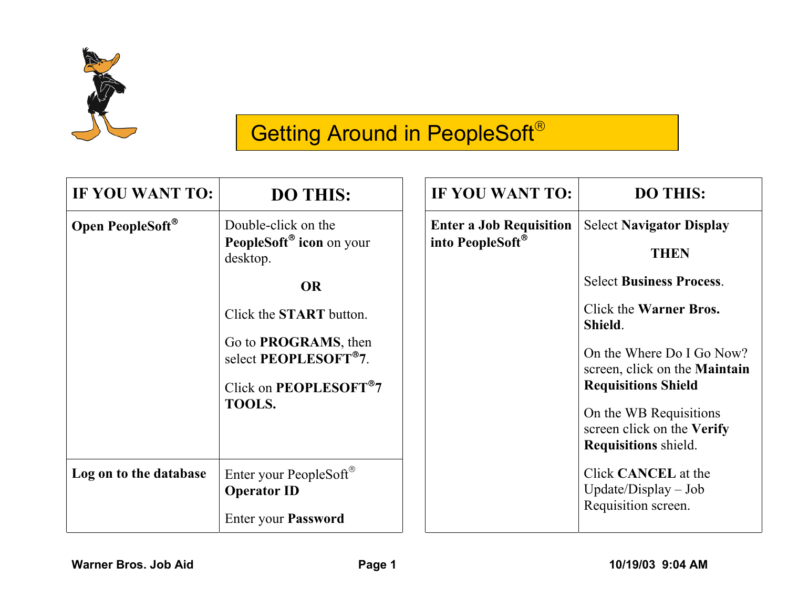

# **Getting Around in PeopleSoft®**

| IF YOU WANT TO:        | <b>DO THIS:</b>                                                                                                                                                                                                                                         | IF YOU WANT TO:                                                | <b>DO THIS:</b>                                                                                                                                                                                                                                                                                                         |
|------------------------|---------------------------------------------------------------------------------------------------------------------------------------------------------------------------------------------------------------------------------------------------------|----------------------------------------------------------------|-------------------------------------------------------------------------------------------------------------------------------------------------------------------------------------------------------------------------------------------------------------------------------------------------------------------------|
| Open PeopleSoft®       | Double-click on the<br>PeopleSoft <sup>®</sup> icon on your<br>desktop.<br><b>OR</b><br>Click the <b>START</b> button.<br>Go to <b>PROGRAMS</b> , then<br>select PEOPLESOFT <sup>®</sup> 7.<br>Click on <b>PEOPLESOFT<sup>®</sup>7</b><br><b>TOOLS.</b> | <b>Enter a Job Requisition</b><br>into PeopleSoft <sup>®</sup> | <b>Select Navigator Display</b><br><b>THEN</b><br><b>Select Business Process.</b><br>Click the <b>Warner Bros.</b><br>Shield.<br>On the Where Do I Go Now?<br>screen, click on the <b>Maintain</b><br><b>Requisitions Shield</b><br>On the WB Requisitions<br>screen click on the Verify<br><b>Requisitions</b> shield. |
| Log on to the database | Enter your PeopleSoft <sup>®</sup><br><b>Operator ID</b><br><b>Enter your Password</b>                                                                                                                                                                  |                                                                | Click <b>CANCEL</b> at the<br>$Update/Display - Job$<br>Requisition screen.                                                                                                                                                                                                                                             |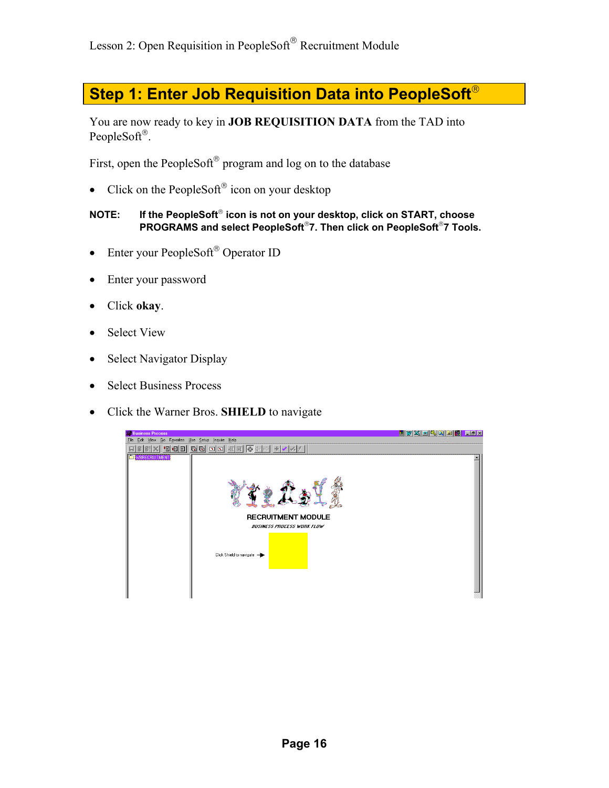# **Step 1: Enter Job Requisition Data into PeopleSoft**

You are now ready to key in **JOB REQUISITION DATA** from the TAD into PeopleSoft<sup>®</sup>.

First, open the PeopleSoft<sup>®</sup> program and log on to the database

• Click on the PeopleSoft<sup>®</sup> icon on your desktop

#### NOTE: If the PeopleSoft<sup>®</sup> icon is not on your desktop, click on START, choose **PROGRAMS and select PeopleSoft7. Then click on PeopleSoft7 Tools.**

- Enter your PeopleSoft® Operator ID
- Enter your password
- Click **okay**.
- Select View
- Select Navigator Display
- Select Business Process
- Click the Warner Bros. **SHIELD** to navigate

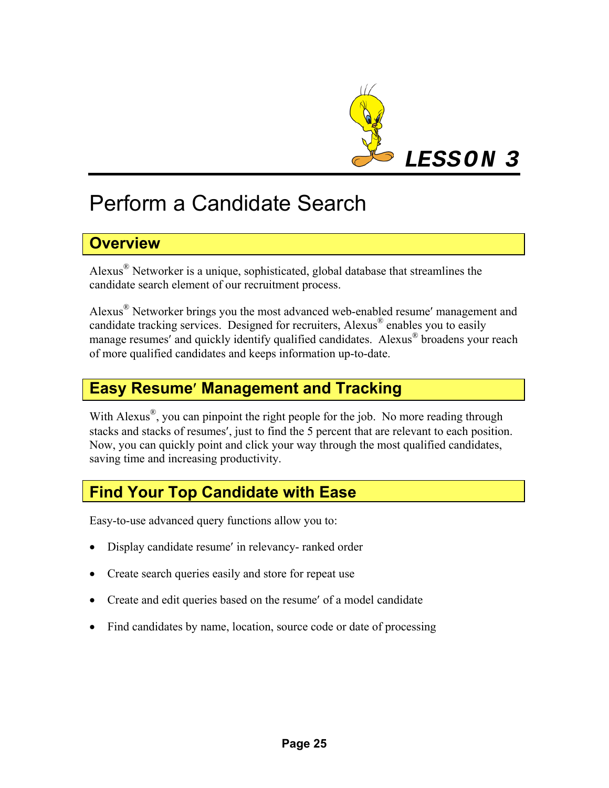

# Perform a Candidate Search

# **Overview**

Alexus® Networker is a unique, sophisticated, global database that streamlines the candidate search element of our recruitment process.

Alexus® Networker brings you the most advanced web-enabled resume′ management and candidate tracking services. Designed for recruiters, Alexus ® enables you to easily manage resumes' and quickly identify qualified candidates. Alexus<sup>®</sup> broadens your reach of more qualified candidates and keeps information up-to-date.

# **Easy Resume**′ **Management and Tracking**

With Alexus<sup>®</sup>, you can pinpoint the right people for the job. No more reading through stacks and stacks of resumes′, just to find the 5 percent that are relevant to each position. Now, you can quickly point and click your way through the most qualified candidates, saving time and increasing productivity.

# **Find Your Top Candidate with Ease**

Easy-to-use advanced query functions allow you to:

- Display candidate resume' in relevancy- ranked order
- Create search queries easily and store for repeat use
- Create and edit queries based on the resume' of a model candidate
- Find candidates by name, location, source code or date of processing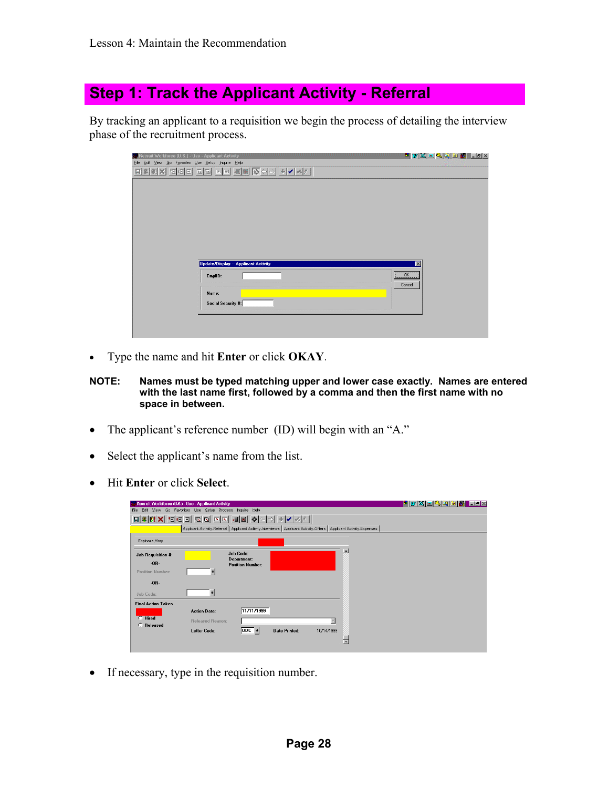# **Step 1: Track the Applicant Activity - Referral**

By tracking an applicant to a requisition we begin the process of detailing the interview phase of the recruitment process.

| Recruit Workforce [U.S.] - Use - Applicant Activity | <u>Hivadaal Chin</u> |
|-----------------------------------------------------|----------------------|
| File Edit View Go Favorites Use Setup Inquire Help  |                      |
|                                                     |                      |
|                                                     |                      |
|                                                     |                      |
|                                                     |                      |
|                                                     |                      |
|                                                     |                      |
|                                                     |                      |
|                                                     |                      |
|                                                     |                      |
|                                                     |                      |
|                                                     |                      |
| Update/Display -- Applicant Activity                | $\mathbf{z}$         |
| EmplD:                                              | $\overline{0K}$      |
|                                                     | Cancel               |
| Name:                                               |                      |
| Social Security #:                                  |                      |
|                                                     |                      |
|                                                     |                      |
|                                                     |                      |
|                                                     |                      |

• Type the name and hit **Enter** or click **OKAY**.

#### **NOTE: Names must be typed matching upper and lower case exactly. Names are entered with the last name first, followed by a comma and then the first name with no space in between.**

- The applicant's reference number (ID) will begin with an "A."
- Select the applicant's name from the list.
- Hit **Enter** or click **Select**.

|                                                                     | Recruit Workforce (U.S.) - Use - Applicant Activity                                                                   |                                        |                      |                         | <u>HUXOQQDB FIIX</u> |  |
|---------------------------------------------------------------------|-----------------------------------------------------------------------------------------------------------------------|----------------------------------------|----------------------|-------------------------|----------------------|--|
| Edit<br>View Go Favorites Use Setup Process<br>Inquire Help<br>File |                                                                                                                       |                                        |                      |                         |                      |  |
| $\blacksquare$<br>Θ                                                 | GG<br>$\boxed{2}$                                                                                                     |                                        |                      |                         |                      |  |
|                                                                     | Applicant Activity-Referral   Applicant Activity-Interviews   Applicant Activity-Offers   Applicant Activity-Expenses |                                        |                      |                         |                      |  |
|                                                                     |                                                                                                                       |                                        |                      |                         |                      |  |
| Espinoza, Mary                                                      |                                                                                                                       |                                        |                      |                         |                      |  |
| Job Requisition #:                                                  |                                                                                                                       | <b>Job Code:</b>                       |                      |                         | $\blacktriangle$     |  |
| $-0B-$                                                              |                                                                                                                       | Department:<br><b>Position Number:</b> |                      |                         |                      |  |
| Position Number:                                                    | п                                                                                                                     |                                        |                      |                         |                      |  |
| $-0R-$                                                              |                                                                                                                       |                                        |                      |                         |                      |  |
| Job Code:                                                           |                                                                                                                       |                                        |                      |                         |                      |  |
| Final Action Taken                                                  |                                                                                                                       |                                        |                      |                         |                      |  |
|                                                                     | <b>Action Date:</b>                                                                                                   | 11/11/1999                             |                      |                         |                      |  |
| $\cap$ Hired                                                        | <b>Released Reason:</b>                                                                                               |                                        |                      | $\overline{\mathbf{v}}$ |                      |  |
| <b>C</b> Released                                                   | <b>Letter Code:</b>                                                                                                   | $ 0DC +$                               | <b>Date Printed:</b> | 10/14/1999              |                      |  |
|                                                                     |                                                                                                                       |                                        |                      |                         | 囗                    |  |
|                                                                     |                                                                                                                       |                                        |                      |                         |                      |  |

• If necessary, type in the requisition number.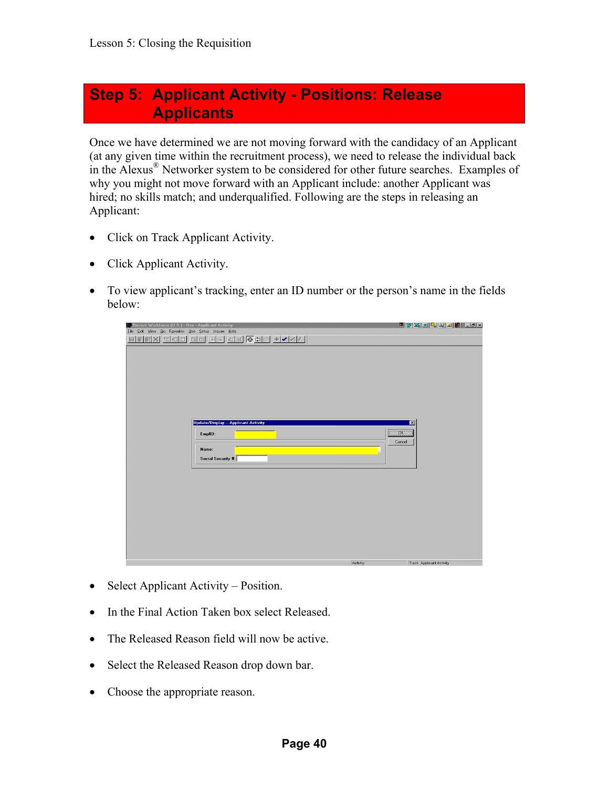## **Step 5: Applicant Activity - Positions: Release Applicants**

Once we have determined we are not moving forward with the candidacy of an Applicant (at any given time within the recruitment process), we need to release the individual back in the Alexus ® Networker system to be considered for other future searches. Examples of why you might not move forward with an Applicant include: another Applicant was hired; no skills match; and underqualified. Following are the steps in releasing an Applicant:

- Click on Track Applicant Activity.
- Click Applicant Activity.
- To view applicant's tracking, enter an ID number or the person's name in the fields below:

| <b>No Recruit Workforce (U.S.) - Use - Applicant Activity</b><br>Eile Edit View Go Favorites Use Setup Inquire Help<br>GG NN HEGO HV 40<br>$\begin{array}{c} \text{H} \mathbb{H}[\mathbb{H}]\times \mathbb{H}[\mathbb{H}]\end{array}$ |               | <u> "IWAGGQQISH LEIX</u> |
|---------------------------------------------------------------------------------------------------------------------------------------------------------------------------------------------------------------------------------------|---------------|--------------------------|
|                                                                                                                                                                                                                                       |               |                          |
|                                                                                                                                                                                                                                       |               |                          |
| Update/Display -- Applicant Activity                                                                                                                                                                                                  |               | $\overline{\mathbf{z}}$  |
| EmplID:                                                                                                                                                                                                                               | ÖΚ.<br>Cancel |                          |
| Name:<br>Social Security #:                                                                                                                                                                                                           |               |                          |
|                                                                                                                                                                                                                                       |               |                          |
|                                                                                                                                                                                                                                       |               |                          |
|                                                                                                                                                                                                                                       |               |                          |
|                                                                                                                                                                                                                                       | Activity      | Track Applicant Activity |

- Select Applicant Activity Position.
- In the Final Action Taken box select Released.
- The Released Reason field will now be active.
- Select the Released Reason drop down bar.
- Choose the appropriate reason.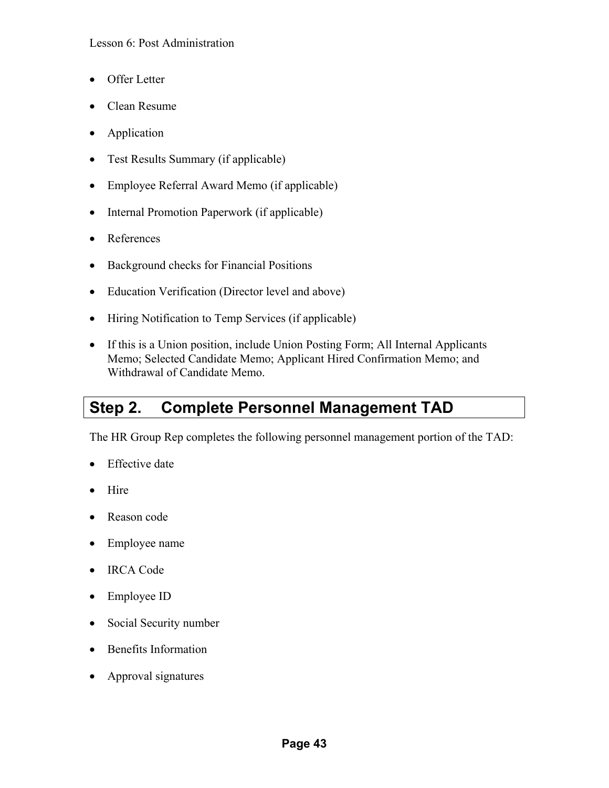### Lesson 6: Post Administration

- Offer Letter
- Clean Resume
- Application
- Test Results Summary (if applicable)
- Employee Referral Award Memo (if applicable)
- Internal Promotion Paperwork (if applicable)
- References
- Background checks for Financial Positions
- Education Verification (Director level and above)
- Hiring Notification to Temp Services (if applicable)
- If this is a Union position, include Union Posting Form; All Internal Applicants Memo; Selected Candidate Memo; Applicant Hired Confirmation Memo; and Withdrawal of Candidate Memo.

# **Step 2. Complete Personnel Management TAD**

The HR Group Rep completes the following personnel management portion of the TAD:

- Effective date
- Hire
- Reason code
- Employee name
- IRCA Code
- Employee ID
- Social Security number
- Benefits Information
- Approval signatures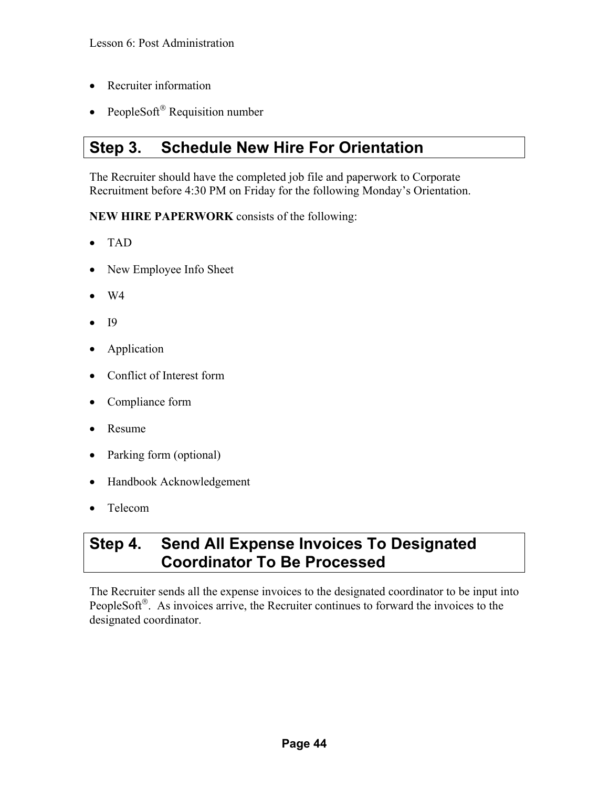- Recruiter information
- PeopleSoft<sup>®</sup> Requisition number

# **Step 3. Schedule New Hire For Orientation**

The Recruiter should have the completed job file and paperwork to Corporate Recruitment before 4:30 PM on Friday for the following Monday's Orientation.

**NEW HIRE PAPERWORK** consists of the following:

- TAD
- New Employee Info Sheet
- W4
- **I9**
- Application
- Conflict of Interest form
- Compliance form
- Resume
- Parking form (optional)
- Handbook Acknowledgement
- Telecom

## **Step 4. Send All Expense Invoices To Designated Coordinator To Be Processed**

The Recruiter sends all the expense invoices to the designated coordinator to be input into PeopleSoft<sup>®</sup>. As invoices arrive, the Recruiter continues to forward the invoices to the designated coordinator.